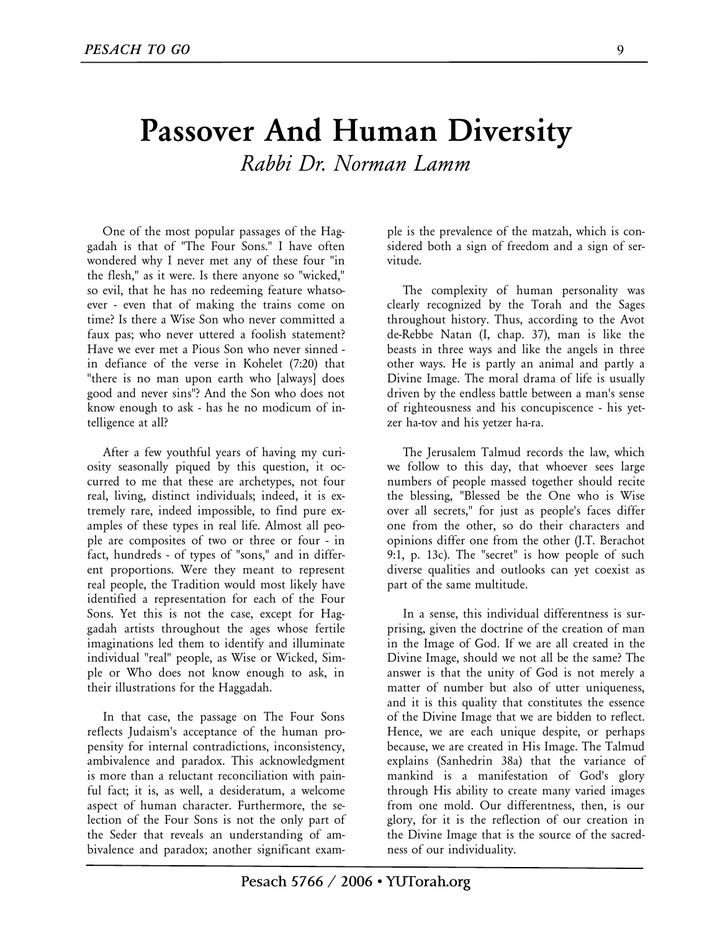## **Passover And Human Diversity**  *Rabbi Dr. Norman Lamm*

 One of the most popular passages of the Haggadah is that of "The Four Sons." I have often wondered why I never met any of these four "in the flesh," as it were. Is there anyone so "wicked," so evil, that he has no redeeming feature whatsoever - even that of making the trains come on time? Is there a Wise Son who never committed a faux pas; who never uttered a foolish statement? Have we ever met a Pious Son who never sinned in defiance of the verse in Kohelet (7:20) that "there is no man upon earth who [always] does good and never sins"? And the Son who does not know enough to ask - has he no modicum of intelligence at all?

 After a few youthful years of having my curiosity seasonally piqued by this question, it occurred to me that these are archetypes, not four real, living, distinct individuals; indeed, it is extremely rare, indeed impossible, to find pure examples of these types in real life. Almost all people are composites of two or three or four - in fact, hundreds - of types of "sons," and in different proportions. Were they meant to represent real people, the Tradition would most likely have identified a representation for each of the Four Sons. Yet this is not the case, except for Haggadah artists throughout the ages whose fertile imaginations led them to identify and illuminate individual "real" people, as Wise or Wicked, Simple or Who does not know enough to ask, in their illustrations for the Haggadah.

 In that case, the passage on The Four Sons reflects Judaism's acceptance of the human propensity for internal contradictions, inconsistency, ambivalence and paradox. This acknowledgment is more than a reluctant reconciliation with painful fact; it is, as well, a desideratum, a welcome aspect of human character. Furthermore, the selection of the Four Sons is not the only part of the Seder that reveals an understanding of ambivalence and paradox; another significant example is the prevalence of the matzah, which is considered both a sign of freedom and a sign of servitude.

 The complexity of human personality was clearly recognized by the Torah and the Sages throughout history. Thus, according to the Avot de-Rebbe Natan (I, chap. 37), man is like the beasts in three ways and like the angels in three other ways. He is partly an animal and partly a Divine Image. The moral drama of life is usually driven by the endless battle between a man's sense of righteousness and his concupiscence - his yetzer ha-tov and his yetzer ha-ra.

 The Jerusalem Talmud records the law, which we follow to this day, that whoever sees large numbers of people massed together should recite the blessing, "Blessed be the One who is Wise over all secrets," for just as people's faces differ one from the other, so do their characters and opinions differ one from the other (J.T. Berachot 9:1, p. 13c). The "secret" is how people of such diverse qualities and outlooks can yet coexist as part of the same multitude.

 In a sense, this individual differentness is surprising, given the doctrine of the creation of man in the Image of God. If we are all created in the Divine Image, should we not all be the same? The answer is that the unity of God is not merely a matter of number but also of utter uniqueness, and it is this quality that constitutes the essence of the Divine Image that we are bidden to reflect. Hence, we are each unique despite, or perhaps because, we are created in His Image. The Talmud explains (Sanhedrin 38a) that the variance of mankind is a manifestation of God's glory through His ability to create many varied images from one mold. Our differentness, then, is our glory, for it is the reflection of our creation in the Divine Image that is the source of the sacredness of our individuality.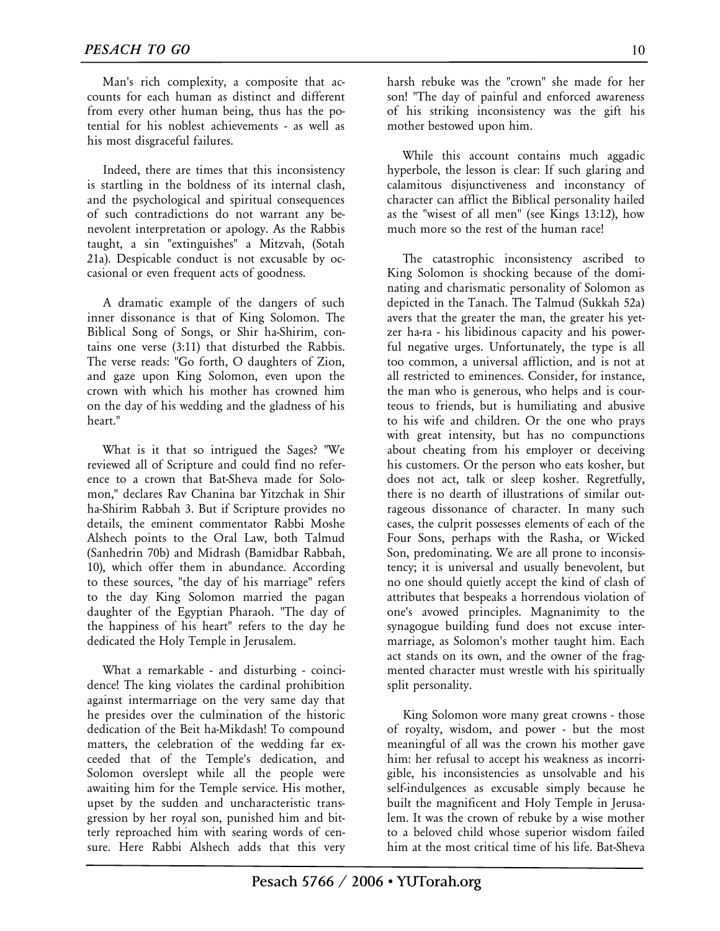Man's rich complexity, a composite that accounts for each human as distinct and different from every other human being, thus has the potential for his noblest achievements - as well as his most disgraceful failures.

 Indeed, there are times that this inconsistency is startling in the boldness of its internal clash, and the psychological and spiritual consequences of such contradictions do not warrant any benevolent interpretation or apology. As the Rabbis taught, a sin "extinguishes" a Mitzvah, (Sotah 21a). Despicable conduct is not excusable by occasional or even frequent acts of goodness.

 A dramatic example of the dangers of such inner dissonance is that of King Solomon. The Biblical Song of Songs, or Shir ha-Shirim, contains one verse (3:11) that disturbed the Rabbis. The verse reads: "Go forth, O daughters of Zion, and gaze upon King Solomon, even upon the crown with which his mother has crowned him on the day of his wedding and the gladness of his heart."

 What is it that so intrigued the Sages? "We reviewed all of Scripture and could find no reference to a crown that Bat-Sheva made for Solomon," declares Rav Chanina bar Yitzchak in Shir ha-Shirim Rabbah 3. But if Scripture provides no details, the eminent commentator Rabbi Moshe Alshech points to the Oral Law, both Talmud (Sanhedrin 70b) and Midrash (Bamidbar Rabbah, 10), which offer them in abundance. According to these sources, "the day of his marriage" refers to the day King Solomon married the pagan daughter of the Egyptian Pharaoh. "The day of the happiness of his heart" refers to the day he dedicated the Holy Temple in Jerusalem.

 What a remarkable - and disturbing - coincidence! The king violates the cardinal prohibition against intermarriage on the very same day that he presides over the culmination of the historic dedication of the Beit ha-Mikdash! To compound matters, the celebration of the wedding far exceeded that of the Temple's dedication, and Solomon overslept while all the people were awaiting him for the Temple service. His mother, upset by the sudden and uncharacteristic transgression by her royal son, punished him and bitterly reproached him with searing words of censure. Here Rabbi Alshech adds that this very harsh rebuke was the "crown" she made for her son! "The day of painful and enforced awareness of his striking inconsistency was the gift his mother bestowed upon him.

 While this account contains much aggadic hyperbole, the lesson is clear: If such glaring and calamitous disjunctiveness and inconstancy of character can afflict the Biblical personality hailed as the "wisest of all men" (see Kings 13:12), how much more so the rest of the human race!

 The catastrophic inconsistency ascribed to King Solomon is shocking because of the dominating and charismatic personality of Solomon as depicted in the Tanach. The Talmud (Sukkah 52a) avers that the greater the man, the greater his yetzer ha-ra - his libidinous capacity and his powerful negative urges. Unfortunately, the type is all too common, a universal affliction, and is not at all restricted to eminences. Consider, for instance, the man who is generous, who helps and is courteous to friends, but is humiliating and abusive to his wife and children. Or the one who prays with great intensity, but has no compunctions about cheating from his employer or deceiving his customers. Or the person who eats kosher, but does not act, talk or sleep kosher. Regretfully, there is no dearth of illustrations of similar outrageous dissonance of character. In many such cases, the culprit possesses elements of each of the Four Sons, perhaps with the Rasha, or Wicked Son, predominating. We are all prone to inconsistency; it is universal and usually benevolent, but no one should quietly accept the kind of clash of attributes that bespeaks a horrendous violation of one's avowed principles. Magnanimity to the synagogue building fund does not excuse intermarriage, as Solomon's mother taught him. Each act stands on its own, and the owner of the fragmented character must wrestle with his spiritually split personality.

 King Solomon wore many great crowns - those of royalty, wisdom, and power - but the most meaningful of all was the crown his mother gave him: her refusal to accept his weakness as incorrigible, his inconsistencies as unsolvable and his self-indulgences as excusable simply because he built the magnificent and Holy Temple in Jerusalem. It was the crown of rebuke by a wise mother to a beloved child whose superior wisdom failed him at the most critical time of his life. Bat-Sheva